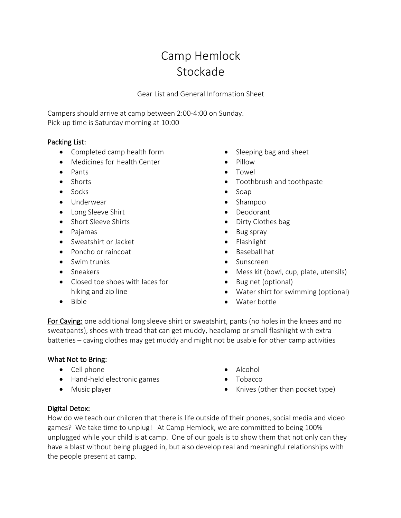# Camp Hemlock Stockade

Gear List and General Information Sheet

Campers should arrive at camp between 2:00-4:00 on Sunday. Pick-up time is Saturday morning at 10:00

# Packing List:

- Completed camp health form
- Medicines for Health Center
- Pants
- Shorts
- Socks
- Underwear
- Long Sleeve Shirt
- Short Sleeve Shirts
- Pajamas
- Sweatshirt or Jacket
- Poncho or raincoat
- Swim trunks
- Sneakers
- Closed toe shoes with laces for hiking and zip line
- Bible
- Sleeping bag and sheet
- Pillow
- Towel
- Toothbrush and toothpaste
- Soap
- Shampoo
- Deodorant
- Dirty Clothes bag
- Bug spray
- Flashlight
- Baseball hat
- Sunscreen
- Mess kit (bowl, cup, plate, utensils)
- Bug net (optional)
- Water shirt for swimming (optional)
- Water bottle

For Caving: one additional long sleeve shirt or sweatshirt, pants (no holes in the knees and no sweatpants), shoes with tread that can get muddy, headlamp or small flashlight with extra batteries – caving clothes may get muddy and might not be usable for other camp activities

### What Not to Bring:

- Cell phone
- Hand-held electronic games
- Music player
- Alcohol
- Tobacco
- Knives (other than pocket type)

### Digital Detox:

How do we teach our children that there is life outside of their phones, social media and video games? We take time to unplug! At Camp Hemlock, we are committed to being 100% unplugged while your child is at camp. One of our goals is to show them that not only can they have a blast without being plugged in, but also develop real and meaningful relationships with the people present at camp.